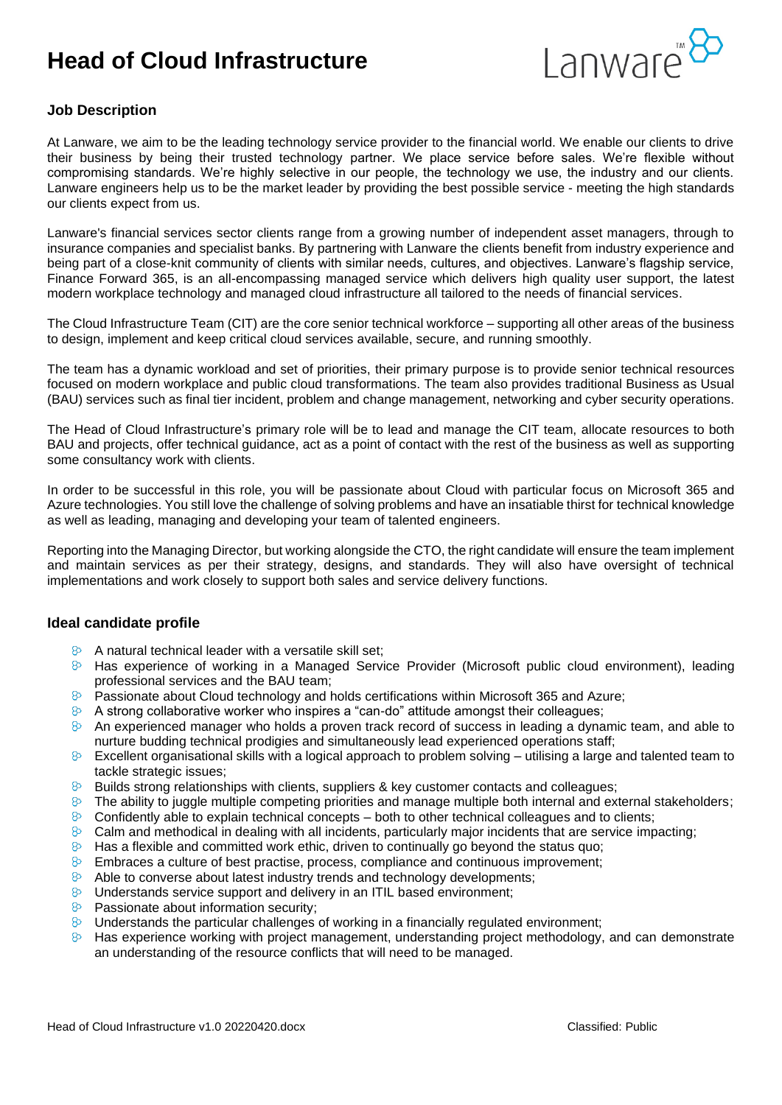# **Head of Cloud Infrastructure**



## **Job Description**

At Lanware, we aim to be the leading technology service provider to the financial world. We enable our clients to drive their business by being their trusted technology partner. We place service before sales. We're flexible without compromising standards. We're highly selective in our people, the technology we use, the industry and our clients. Lanware engineers help us to be the market leader by providing the best possible service - meeting the high standards our clients expect from us.

Lanware's financial services sector clients range from a growing number of independent asset managers, through to insurance companies and specialist banks. By partnering with Lanware the clients benefit from industry experience and being part of a close-knit community of clients with similar needs, cultures, and objectives. Lanware's flagship service, Finance Forward 365, is an all-encompassing managed service which delivers high quality user support, the latest modern workplace technology and managed cloud infrastructure all tailored to the needs of financial services.

The Cloud Infrastructure Team (CIT) are the core senior technical workforce – supporting all other areas of the business to design, implement and keep critical cloud services available, secure, and running smoothly.

The team has a dynamic workload and set of priorities, their primary purpose is to provide senior technical resources focused on modern workplace and public cloud transformations. The team also provides traditional Business as Usual (BAU) services such as final tier incident, problem and change management, networking and cyber security operations.

The Head of Cloud Infrastructure's primary role will be to lead and manage the CIT team, allocate resources to both BAU and projects, offer technical guidance, act as a point of contact with the rest of the business as well as supporting some consultancy work with clients.

In order to be successful in this role, you will be passionate about Cloud with particular focus on Microsoft 365 and Azure technologies. You still love the challenge of solving problems and have an insatiable thirst for technical knowledge as well as leading, managing and developing your team of talented engineers.

Reporting into the Managing Director, but working alongside the CTO, the right candidate will ensure the team implement and maintain services as per their strategy, designs, and standards. They will also have oversight of technical implementations and work closely to support both sales and service delivery functions.

#### **Ideal candidate profile**

- $\mathcal{R}$ A natural technical leader with a versatile skill set;
- Has experience of working in a Managed Service Provider (Microsoft public cloud environment), leading professional services and the BAU team;
- $\heartsuit$  Passionate about Cloud technology and holds certifications within Microsoft 365 and Azure;
- $\odot$  A strong collaborative worker who inspires a "can-do" attitude amongst their colleagues;
- $\odot$  An experienced manager who holds a proven track record of success in leading a dynamic team, and able to nurture budding technical prodigies and simultaneously lead experienced operations staff;
- $\odot$  Excellent organisational skills with a logical approach to problem solving utilising a large and talented team to tackle strategic issues;
- $\infty$ Builds strong relationships with clients, suppliers & key customer contacts and colleagues;
- $\infty$ The ability to juggle multiple competing priorities and manage multiple both internal and external stakeholders;
- $\infty$ Confidently able to explain technical concepts – both to other technical colleagues and to clients;
- $\infty$ Calm and methodical in dealing with all incidents, particularly major incidents that are service impacting;
- $\infty$ Has a flexible and committed work ethic, driven to continually go beyond the status quo;
- $8<sup>o</sup>$ Embraces a culture of best practise, process, compliance and continuous improvement;
- Able to converse about latest industry trends and technology developments;  $\infty$
- $\infty$ Understands service support and delivery in an ITIL based environment;
- $\infty$ Passionate about information security;
- $\infty$ Understands the particular challenges of working in a financially regulated environment;
- $\infty$ Has experience working with project management, understanding project methodology, and can demonstrate an understanding of the resource conflicts that will need to be managed.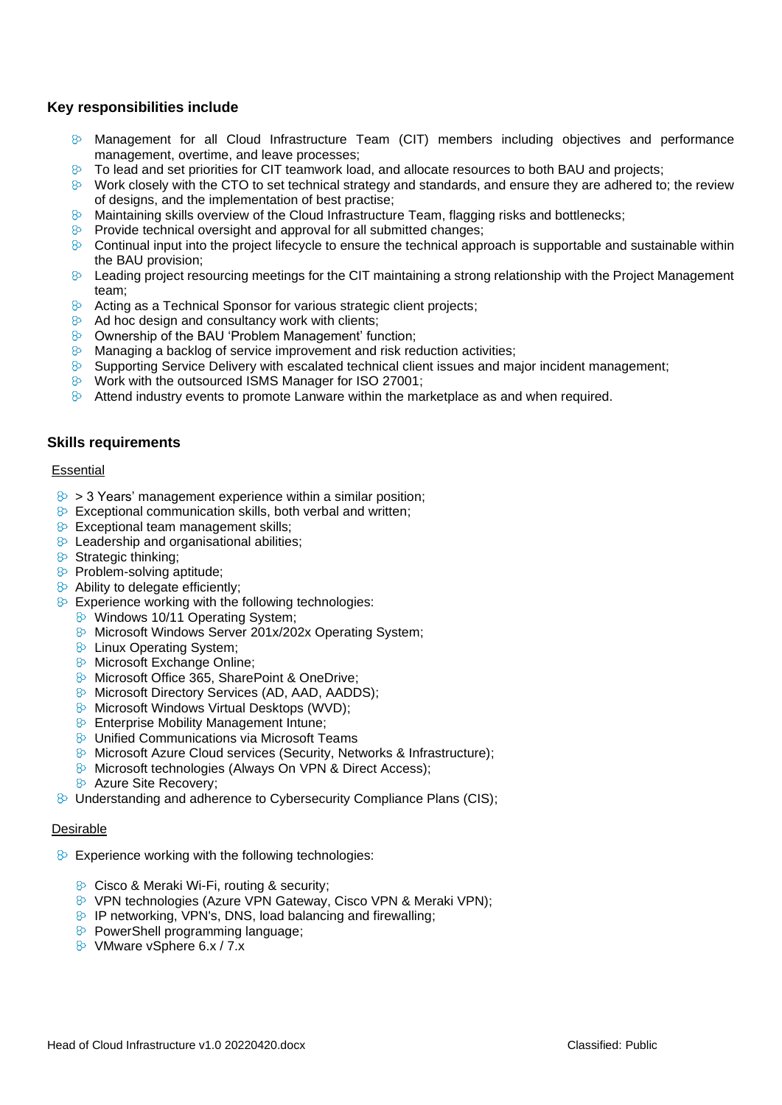## **Key responsibilities include**

- $\odot$  Management for all Cloud Infrastructure Team (CIT) members including objectives and performance management, overtime, and leave processes;
- To lead and set priorities for CIT teamwork load, and allocate resources to both BAU and projects;
- 8 Work closely with the CTO to set technical strategy and standards, and ensure they are adhered to; the review of designs, and the implementation of best practise;
- $\odot$  Maintaining skills overview of the Cloud Infrastructure Team, flagging risks and bottlenecks;
- $\triangleright$  Provide technical oversight and approval for all submitted changes;
- $\odot$  Continual input into the project lifecycle to ensure the technical approach is supportable and sustainable within the BAU provision;
- $\odot$  Leading project resourcing meetings for the CIT maintaining a strong relationship with the Project Management team;
- $\Diamond$  Acting as a Technical Sponsor for various strategic client projects:
- $\Diamond$  Ad hoc design and consultancy work with clients;
- Ownership of the BAU 'Problem Management' function;
- $\Diamond$  Managing a backlog of service improvement and risk reduction activities;
- $\otimes$  Supporting Service Delivery with escalated technical client issues and major incident management;
- **E** Work with the outsourced ISMS Manager for ISO 27001;
- $\Diamond$  Attend industry events to promote Lanware within the marketplace as and when required.

#### **Skills requirements**

#### Essential

- $\geq$  > 3 Years' management experience within a similar position;
- $\Diamond$  Exceptional communication skills, both verbal and written;
- **B** Exceptional team management skills:
- $\triangleright$  Leadership and organisational abilities:
- $\triangleright$  Strategic thinking;
- **B** Problem-solving aptitude;
- **8** Ability to delegate efficiently:
- $\triangleright$  Experience working with the following technologies:
	- **&** Windows 10/11 Operating System;
	- **B** Microsoft Windows Server 201x/202x Operating System;
	- **B** Linux Operating System;
	- **&** Microsoft Exchange Online;
	- **E** Microsoft Office 365, SharePoint & OneDrive:
	- 8 Microsoft Directory Services (AD, AAD, AADDS);
	- 8 Microsoft Windows Virtual Desktops (WVD);
	- **B** Enterprise Mobility Management Intune;
	- **&** Unified Communications via Microsoft Teams
	- **B** Microsoft Azure Cloud services (Security, Networks & Infrastructure);
	- **B** Microsoft technologies (Always On VPN & Direct Access);
	- 8 Azure Site Recovery;
- **B** Understanding and adherence to Cybersecurity Compliance Plans (CIS):

#### Desirable

- $\triangleright$  Experience working with the following technologies:
	- **B** Cisco & Meraki Wi-Fi, routing & security;
	- **E** VPN technologies (Azure VPN Gateway, Cisco VPN & Meraki VPN);
	- $\triangleright$  IP networking, VPN's, DNS, load balancing and firewalling;
	- **B** PowerShell programming language;
	- 8 VMware vSphere 6.x / 7.x